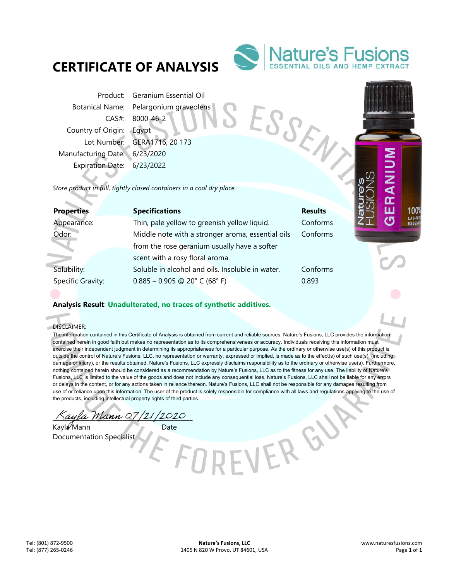# **CERTIFICATE OF ANALYSIS**



ESSENY

VERGY

Product: Geranium Essential Oil Botanical Name: Pelargonium graveolens CAS#: 8000-46-2 Country of Origin: Egypt Lot Number: GERA1716, 20 173 Manufacturing Date: 6/23/2020 Expiration Date: 6/23/2022

*Store product in full, tightly closed containers in a cool dry place.* 

| <b>Properties</b> | <b>Specifications</b>                             | <b>Results</b> |
|-------------------|---------------------------------------------------|----------------|
| Appearance:       | Thin, pale yellow to greenish yellow liquid.      | Conforms       |
| Odor:             | Middle note with a stronger aroma, essential oils | Conforms       |
|                   | from the rose geranium usually have a softer      |                |
|                   | scent with a rosy floral aroma.                   |                |
| Solubility:       | Soluble in alcohol and oils. Insoluble in water.  | Conforms       |
| Specific Gravity: | $0.885 - 0.905$ @ 20° C (68° F)                   | 0.893          |
|                   |                                                   |                |

## **Analysis Result**: **Unadulterated, no traces of synthetic additives.**

DISCLAIMER:

f. ó

> The information contained in this Certificate of Analysis is obtained from current and reliable sources. Nature's Fusions, LLC provides the information contained herein in good faith but makes no representation as to its comprehensiveness or accuracy. Individuals receiving this information must exercise their independent judgment in determining its appropriateness for a particular purpose. As the ordinary or otherwise use(s) of this product is outside the control of Nature's Fusions, LLC, no representation or warranty, expressed or implied, is made as to the effect(s) of such use(s), (including damage or injury), or the results obtained. Nature's Fusions, LLC expressly disclaims responsibility as to the ordinary or otherwise use(s). Furthermore, nothing contained herein should be considered as a recommendation by Nature's Fusions, LLC as to the fitness for any use. The liability of Nature's Fusions, LLC is limited to the value of the goods and does not include any consequential loss. Nature's Fusions, LLC shall not be liable for any errors or delays in the content, or for any actions taken in reliance thereon. Nature's Fusions, LLC shall not be responsible for any damages resulting from use of or reliance upon this information. The user of the product is solely responsible for compliance with all laws and regulations applying to the use of the products, including intellectual property rights of third parties.

ayla Mann 07/21/2020

Kayla Mann Date Documentation Specialist

100 LAB-TE **ESSE**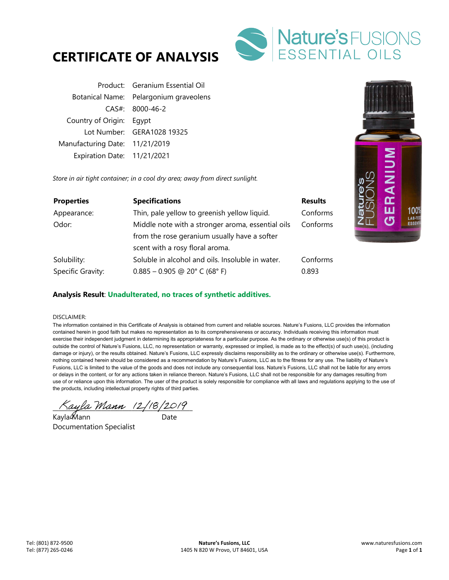



|                                | Product: Geranium Essential Oil        |
|--------------------------------|----------------------------------------|
|                                | Botanical Name: Pelargonium graveolens |
|                                | $CAS#$ : 8000-46-2                     |
| Country of Origin: Eqypt       |                                        |
|                                | Lot Number: GERA1028 19325             |
| Manufacturing Date: 11/21/2019 |                                        |
| Expiration Date: 11/21/2021    |                                        |

*Store in air tight container; in a cool dry area; away from direct sunlight.* 

| <b>Properties</b> | <b>Specifications</b>                             | <b>Results</b> |
|-------------------|---------------------------------------------------|----------------|
| Appearance:       | Thin, pale yellow to greenish yellow liquid.      | Conforms       |
| Odor:             | Middle note with a stronger aroma, essential oils |                |
|                   | from the rose geranium usually have a softer      |                |
|                   | scent with a rosy floral aroma.                   |                |
| Solubility:       | Soluble in alcohol and oils. Insoluble in water.  | Conforms       |
| Specific Gravity: | $0.885 - 0.905$ @ 20° C (68° F)                   | 0.893          |

## **Analysis Result**: **Unadulterated, no traces of synthetic additives.**

### DISCLAIMER:

The information contained in this Certificate of Analysis is obtained from current and reliable sources. Nature's Fusions, LLC provides the information contained herein in good faith but makes no representation as to its comprehensiveness or accuracy. Individuals receiving this information must exercise their independent judgment in determining its appropriateness for a particular purpose. As the ordinary or otherwise use(s) of this product is outside the control of Nature's Fusions, LLC, no representation or warranty, expressed or implied, is made as to the effect(s) of such use(s), (including damage or injury), or the results obtained. Nature's Fusions, LLC expressly disclaims responsibility as to the ordinary or otherwise use(s). Furthermore, nothing contained herein should be considered as a recommendation by Nature's Fusions, LLC as to the fitness for any use. The liability of Nature's Fusions, LLC is limited to the value of the goods and does not include any consequential loss. Nature's Fusions, LLC shall not be liable for any errors or delays in the content, or for any actions taken in reliance thereon. Nature's Fusions, LLC shall not be responsible for any damages resulting from use of or reliance upon this information. The user of the product is solely responsible for compliance with all laws and regulations applying to the use of the products, including intellectual property rights of third parties.

 $\land$ ayla Mann (2/18/2019)

Kayla��lann Date Documentation Specialist